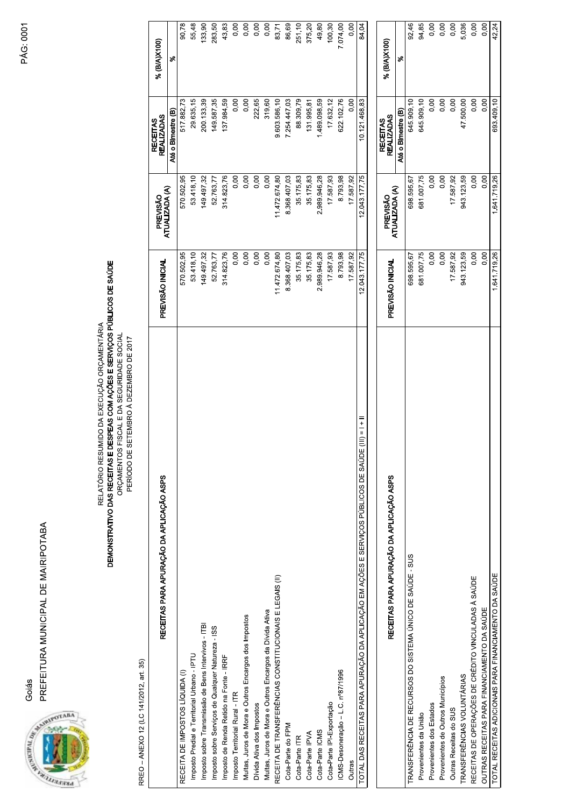PREFEITURA MUNICIPAL DE MAIRIPOTABA Goiás



**PÁG: 0001** 

## RELATÓRIO RESUMIDO DA EXECUÇÃO ORÇAMENTÁRIA<br>**DEMONSTRATIVO DAS RECEITAS E DESPEAS COM AÇÕES E SERVIÇOS PÚBLICOS DE SAÚDE**<br>ORÇAMENTOS FISCAL E DA SEGURIDADE SOCIAL PERÍODO DE SETEMBRO À DEZEMBRO DE 2017

RREO - ANEXO 12 (LC 141/2012, art. 35)

| RECEITAS PARA APURAÇÃO DA APLICAÇÃO ASPS                                                                  | PREVISÃO INICIAL | ATUALIZADA (A)<br>PREVISÃO | <b>REALIZADAS</b><br><b>RECEITAS</b> | % (B/A)X100) |
|-----------------------------------------------------------------------------------------------------------|------------------|----------------------------|--------------------------------------|--------------|
|                                                                                                           |                  |                            | Até o Birnestre (B)                  | ళ            |
| RECEITA DE IMPOSTOS LÍQUIDA (I)                                                                           | 570.502,95       | 570.502,95                 | 517.882,73                           | 90,78        |
| Imposto Predial e Territorial Urbano - IPTU                                                               | 53.418,10        | 53.418,10                  | 29.635,15                            | 55,48        |
| Imposto sobre Transmissão de Bens Intervivos - ITBI                                                       | 149.497,32       | 149.497,32                 | 200.133,39                           | 133,90       |
| Imposto sobre Serviços de Qualquer Natureza - ISS                                                         | 52.763,77        | 52.763,77                  | 149.587,35                           | 283,50       |
| Imposto de Renda Retido na Fonte - IRRF                                                                   | 314.823,76       | 314.823,76                 | 137.984,59                           | 43,83        |
| Imposto Territorial Rural - ITR                                                                           | 0.00             | 0,00                       | 0,00                                 | 0,00         |
| Multas, Juros de Mora e Outros Encargos dos Impostos                                                      | 0,00             | 0,00                       | 0,00                                 | 0,00         |
| Dívida Ativa dos Impostos                                                                                 | 0,00             | 0,00                       | 222,65                               | 0,00         |
| Multas, Juros de Mora e Outros Encargos da Dívida Ativa                                                   | 0,00             | 0,00                       | 319,60                               | 0,00         |
| RECEITA DE TRANSFERÊNCIAS CONSTITUCIONAIS E LEGAIS (II)                                                   | 1472.674.80      | 11472.674.80               | 9.603.586,10                         | 83,71        |
| Cota-Parte do FPM                                                                                         | 8.368.407,03     | 8.368.407,03               | 7.254.447,03                         | 86,69        |
| Cota-Parte ITR                                                                                            | 35.175,83        | 35.175,83                  | 88.309,79                            | 251,10       |
| Cota-Parte IPVA                                                                                           | 35.175,83        | 35.175,83                  | 131.995,81                           | 375,20       |
| Cota-Parte ICMS                                                                                           | 2.989.946,28     | 2.989.946,28               | 1.489.098,59                         | 49,80        |
| Cota-Parte IPI-Exportação                                                                                 | 17.587,93        | 17.587,93                  | 17.632,12                            | 100,30       |
| ICMS-Desoneração - L.C. nº87/1996                                                                         | 8793,98          | 8.793,98                   | 622.102,76                           | 7.074,00     |
| Outras                                                                                                    | 17.587,92        | 17.587.92                  | 0.00                                 | 0.00         |
| $= + -$<br>$=$ $=$<br>TOTAL DAS RECEITAS PARA APURAÇÃO DA APLICAÇÃO EM AÇÕES E SERVIÇOS PÚBLICOS DE SAÚDE | 12.043.177,75    | 12.043.177,75              | 10.121.468,83                        | 84,04        |
|                                                                                                           |                  |                            |                                      |              |
| RECEITAS PARA APURAÇÃO DA APLICAÇÃO ASPS                                                                  | PREVISÃO INICIAL | PREVISÃO                   | <b>REALIZADAS</b><br><b>RECEITAS</b> | % (B/A)X100) |
|                                                                                                           |                  | ATUALIZADA (A)             | Até o Bimestre (B)                   | ళ            |
| TRANSFERÊNCIA DE RECURSOS DO SISTEMA ÚNICO DE SAÚDE - SUS                                                 | 698.595.67       | 698.595,67                 | 645.909,10                           | 92,46        |
| Provenientes da União                                                                                     | 681.007,75       | 681.007,75                 | 645.909,10                           | 94,85        |
| Provenientes dos Estados                                                                                  | 0,00             | 0,00                       | 0,00                                 | 0,00         |
| Provenientes de Outros Municípios                                                                         | 0,00             | 0,00                       | 0,00                                 | 0,00         |
| Outras Receitas do SUS                                                                                    | 17.587,92        | 17.587,92                  | 0.00                                 | 0,00         |

5,036<br>0,00<br>0,00<br>42,24

 $0.00$ 47.500,00

> 0,00  $0,00$

1.641.719,26

OUTRAS RECEITAS PARA FINANCIAMENTO DA SAÚDE<br>TOTAL RECEITAS ADICIONAIS PARA FINANCIAMENTO DA SAÚDE RECEITAS DE OPERAÇÕES DE CRÉDITO VINCULADAS À SAÚDE

TRANSFERÊNCIAS VOLUNTÁRIAS

943.123,59

943.123,59  $0.00$  $0,00$ 1.641.719,26

 $0.00$ 693.409,10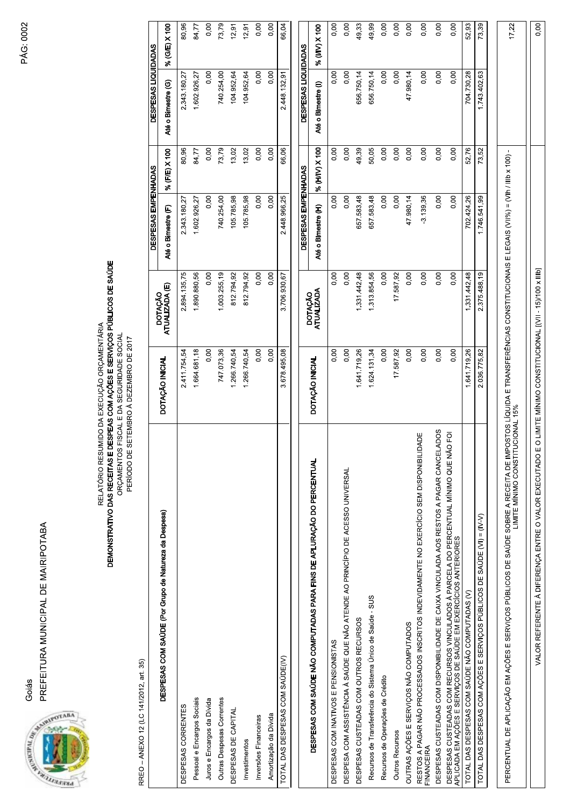PREFEITURA MUNICIPAL DE MAIRIPOTABA Goiás



## RELATÓRIO RESUMIDO DA EXECUÇÃO ORÇAMENTÁRIA<br>**DEMONSTRATIVO DAS RECEITAS E DESPEAS COM AÇÕES E SERVIÇOS PÚBLICOS DE SAÚDE**<br>ORÇAMENTOS FISCAL E DA SEGURIDADE SOCIAL

PERÍODO DE SETEMBRO À DEZEMBRO DE 2017

RREO - ANEXO 12 (LC 141/2012, art. 35)

|                                                                                                                                                                                                                     |                                                          |                           | DESPESAS EMPENHADAS |               | DESPESAS LIQUIDADAS |               |
|---------------------------------------------------------------------------------------------------------------------------------------------------------------------------------------------------------------------|----------------------------------------------------------|---------------------------|---------------------|---------------|---------------------|---------------|
| DESPESAS COM SAÚDE (Por Grupo de Natureza da Despesa)                                                                                                                                                               | DOTAÇÃO INICIAL                                          | DOTAÇÃO<br>ΑΤUALIZADA (E) | Até o Bimestre (F)  | % (F/E) X 100 | Até o Bimestre (G)  | % (G/E) X 100 |
| DESPESAS CORRENTES                                                                                                                                                                                                  | 2.411.754,54                                             | 2.894.135,75              | 2.343.180,27        | 80,96         | 2.343.180,27        | 80,96         |
| Pessoal e Encargos Sociais                                                                                                                                                                                          | 1.664.681,18                                             | 1.890.880,56              | 1.602.926,27        | 84,77         | 1.602.926,27        | 84,77         |
| Juros e Encargos da Dívida                                                                                                                                                                                          | 0,00                                                     | 0,00                      | 0,00                | 0,00          | 0,00                | 0,00          |
| Outras Despesas Correntes                                                                                                                                                                                           | 747.073,36                                               | 1.003.255,19              | 740.254,00          | 73,79         | 740.254,00          | 73,79         |
| DESPESAS DE CAPITAL                                                                                                                                                                                                 | 1.266.740,54                                             | 812.794,92                | 105.785,98          | 13,02         | 104.952,64          | 12,91         |
| Investimentos                                                                                                                                                                                                       | 1.266.740,54                                             | 812.794,92                | 105.785,98          | 13,02         | 104 952,64          | 12,91         |
| Inversões Financeiras                                                                                                                                                                                               | 0,00                                                     | 0,00                      | 0,00                | 0,00          | 0,00                | 0,00          |
| Amortização da Dívida                                                                                                                                                                                               | 0,00                                                     | 0,00                      | 0,00                | 0,00          | 0,00                | 0,00          |
| TOTAL DAS DESPESAS COM SAÚDE(IV)                                                                                                                                                                                    | 3.678.495,08                                             | 3.706.930,67              | 2.448.966,25        | 66,06         | 2.448.132,91        | 66,04         |
|                                                                                                                                                                                                                     |                                                          |                           | DESPESAS EMPENHADAS |               | DESPESAS LIQUIDADAS |               |
| DESPESAS COM SAÚDE NÃO COMPUTADAS PARA FINS DE APLURAÇÃO DO PERCENTUAL                                                                                                                                              | DOTAÇÃO INICIAL                                          | DOTAÇÃO<br>ATUALIZADA     | Até o Bimestre (H)  | % (HIV) X 100 | Até o Bimestre (I)  | % (VIV) X 100 |
| DESPESAS COM INATIVOS E PENSIONISTAS                                                                                                                                                                                | 0,00                                                     | 0,00                      | 0,00                | 0,00          | 0,00                | 0,00          |
| DESPESA COM ASSISTÊNCIA À SAÚDE QUE NÃO ATENDE AO PRINCÍPIO DE ACESSO UNIVERSAL                                                                                                                                     | 0,00                                                     | 0,00                      | 0,00                | 0,00          | 0,00                | 0,00          |
| DESPESAS CUSTEADAS COM OUTROS RECURSOS                                                                                                                                                                              | 1.641.719,26                                             | 1.331.442,48              | 657.583,48          | 49,39         | 656.750,14          | 49,33         |
| Recursos de Transferência do Sistema Único de Saúde - SUS                                                                                                                                                           | 1.624.131,34                                             | 1.313.854,56              | 657.583,48          | 50,05         | 656.750,14          | 49,99         |
| Recursos de Operações de Crédito                                                                                                                                                                                    | 0,00                                                     | 0,00                      | 0.00                | 0,00          | 0.00                | 0,00          |
| <b>Outros Recursos</b>                                                                                                                                                                                              | 17.587,92                                                | 17.587,92                 | 0,00                | 0,00          | 0,00                | 0,00          |
| OUTRAS AÇÕES E SERVIÇOS NÃO COMPUTADOS                                                                                                                                                                              | 0,00                                                     | 0,00                      | 47.980,14           | 0,00          | 47.980,14           | 0,00          |
| RESTOS A PAGAR NÃO PROCESSADOS INSCRITOS INDEVIDAMENTE NO EXERCÍCIO SEM DISPONIBILIDADE<br>FINANCEIRA                                                                                                               | 0,00                                                     | 0,00                      | $-3.139,36$         | 0,00          | 0,00                | 0,00          |
| DESPESAS CUSTEADAS COM DISPONIBILIDADE DE CAIXA VINCULADA AOS RESTOS A PAGAR CANCELADOS                                                                                                                             | 0,00                                                     | 0,00                      | 0,00                | 0,00          | 0,00                | 0,00          |
| DESPESAS CUSTEADAS COM RECURSOS VINCULADOS À PARCELA DO PERCENTUAL MÍNIMO QUE NÃO FOI<br>APLICADA EM AÇÕES E SERVIÇOS DE SAÚDE EM EXERCÍCIOS ANTERIORES                                                             | 0,00                                                     | 0,00                      | 0,00                | 0,00          | 0,00                | 0,00          |
| TOTAL DAS DESPESAS COM SAÚDE NÃO COMPUTADAS (V)                                                                                                                                                                     | 1.641.719,26                                             | 1.331.442,48              | 702.424,26          | 52,76         | 704.730,28          | 52,93         |
| TOTAL DAS DESPESAS COM AÇÕES E SERVIÇOS PÚBLICOS DE SAÚDE (VI) = (IV-V)                                                                                                                                             | 2.036.775,82                                             | 2.375.488,19              | 1.746.541,99        | 73,52         | 1.743.402,63        | 73,39         |
| PERCENTUAL DE APLICAÇÃO EM AÇÕES E SERVIÇOS PÚBLICOS DE SAÚDE SOBRE A RECEITA DE IMPOSTOS LÍQUIDA E TRANSFERÊNCIAS CONSTITUCIONAIS E LEGAIS (VIII%) = (VIIn / IIIb x 100) -<br>UCIONAL 15%<br>LIMITE MÍNIMO CONSTIT |                                                          |                           |                     |               |                     | 17,22         |
| VALOR REFERENTE À DIFERENÇA ENTRE O VALOR EXECUTADO                                                                                                                                                                 | E O LIMITE MÍNIMO CONSTITUCIONAL [(VII - 15)/100 x IIIb] |                           |                     |               |                     | 0,00          |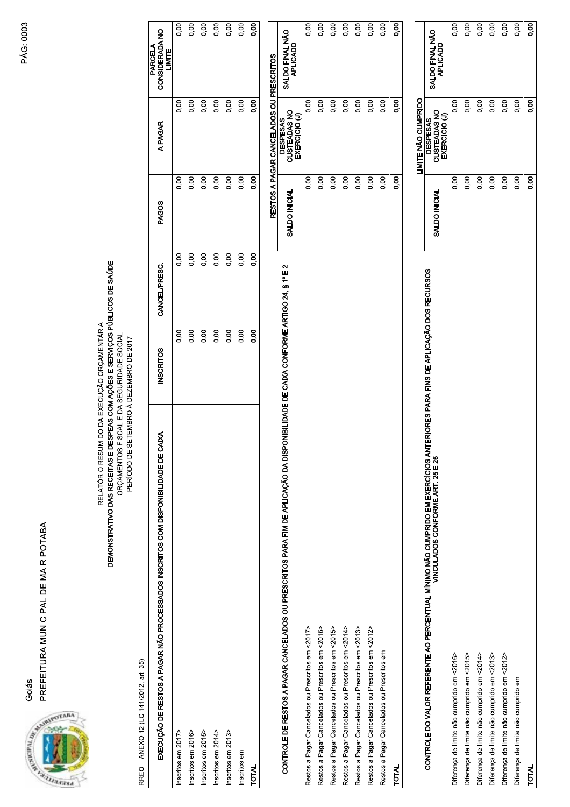

| PREFEITURA MUNICIPAL DE MAIRIPOTABA<br>Goiás<br>ANTALISMENT PROPERTY                                                                                                                                             |                  |               |               |                                                                                      |                                     |
|------------------------------------------------------------------------------------------------------------------------------------------------------------------------------------------------------------------|------------------|---------------|---------------|--------------------------------------------------------------------------------------|-------------------------------------|
| DEMONSTRATIVO DAS RECEITAS E DESPEAS COM AÇÕES E SERVIÇOS PÚBLICOS DE SAÚDE<br>RELATÓRIO RESUMIDO DA EXECUÇÃO ORÇAMENTÁRIA<br>ORÇAMENTOS FISCAL E DA SEGURIDADE SOCIAL<br>PERÍODO DE SETEMBRO À DEZEMBRO DE 2017 |                  |               |               |                                                                                      |                                     |
| RREO - ANEXO 12 (LC 141/2012, art. 35)                                                                                                                                                                           |                  |               |               |                                                                                      |                                     |
| EXECUÇÃO DE RESTOS A PAGAR NÃO PROCESSADOS INSCRITOS COM DISPONIBILIDADE DE CAIXA                                                                                                                                | <b>INSCRITOS</b> | CANCEL/PRESC. | <b>PAGOS</b>  | <b>APAGAR</b>                                                                        | PARCELA<br>CONSIDERADA NO<br>LIMITE |
| Inscritos em 2017>                                                                                                                                                                                               | 0,00             | 8<br>0.0      | 0,00          | 0,00                                                                                 | 0,00                                |
| Inscritos em 2016>                                                                                                                                                                                               | 0,00             | 0,00          | 0,00          | 0,00                                                                                 | 0,00                                |
| Inscritos em 2015>                                                                                                                                                                                               | 0,00             | 0,00          | 0,00          | 0,00                                                                                 | 0,00                                |
| Inscritos em 2014>                                                                                                                                                                                               | 0,00             | 0,00          | 0,00          | 0,00                                                                                 | 0,00                                |
| Inscritos em 2013>                                                                                                                                                                                               | 0,00             | 0,00          | 0,00          | 0,00                                                                                 | 0,00                                |
| Inscritos em<br><b>TOTAL</b>                                                                                                                                                                                     | 0,00             | 0,00          | 0,00          | 0,00<br>0,00                                                                         | 0,00                                |
|                                                                                                                                                                                                                  | 0,00             | 8.o           | 8.0           |                                                                                      | 8.o                                 |
| CONTROLE DE RESTOS A PAGAR CANCELADOS OU PRESCRITOS PARA FIM DE APLICAÇÃO DA DISPONIBILIDADE DE CAIXA CONFORME ARTIGO 24, § 1º E 2                                                                               |                  |               | SALDO INICIAL | RESTOS A PAGAR CANCELADOS OU PRESCRITOS<br>DESPESAS<br>CUSTEADAS NO<br>EXERCICIO (J) | SALDO FINAL NÃO<br>APLICADO         |
| Restos a Pagar Cancelados ou Prescritos em <2017>                                                                                                                                                                |                  |               | 0,00          | 0,00                                                                                 | 0,00                                |
| Restos a Pagar Cancelados ou Prescritos em <2016>                                                                                                                                                                |                  |               | 0,00          | 0,00                                                                                 | 0,00                                |
| Restos a Pagar Cancelados ou Prescritos em <2015>                                                                                                                                                                |                  |               | 0,00          | 0,00                                                                                 | 0,00                                |
| Restos a Pagar Cancelados ou Prescritos em <2014>                                                                                                                                                                |                  |               | 0,00          | 0,00                                                                                 | 0,00                                |
| Restos a Pagar Cancelados ou Prescritos em <2013>                                                                                                                                                                |                  |               | 0,00          | 0,00                                                                                 | 0,00                                |
| Restos a Pagar Cancelados ou Prescritos em <2012>                                                                                                                                                                |                  |               | 0,00          | 0,00                                                                                 | 0,00                                |
| Restos a Pagar Cancelados ou Prescritos em                                                                                                                                                                       |                  |               | 0,00          | 0,00                                                                                 | 0,00                                |
| <b>TOTAL</b>                                                                                                                                                                                                     |                  |               | 0,00          | 0,00                                                                                 | 8.00                                |
|                                                                                                                                                                                                                  |                  |               |               | <b>LIMITE NÃO CUMPRIDO</b>                                                           |                                     |
| CONTROLE DO VALOR REFERENTE AO PERCENTUAL MÍNIMO NÃO CUMPRIDO EM EXERCÍCIOS ANTERIORES PARA FINS DE APLICAÇÃO DOS RECURSOS<br>VINCULADA VER EN 1990 CONFORME ART. 25 E 26                                        |                  |               | SALDO INICIAL | DESPESAS<br>CUSTEADAS NO<br>EXERCICIO (J)                                            | SALDO FINAL NÃO<br>APLICADO         |
| Diferença de limite não cumprido em <2016>                                                                                                                                                                       |                  |               | 0,00          | 0,00                                                                                 | 0,00                                |
| Diferença de limite não cumprido em <2015>                                                                                                                                                                       |                  |               | 0,00          | 0,00                                                                                 | 0,00                                |
| Diferença de limite não cumprido em <2014>                                                                                                                                                                       |                  |               | 0,00          | 0,00                                                                                 | 0,00                                |
| Diferença de limite não cumprido em <2013>                                                                                                                                                                       |                  |               | 0,00          | 0,00                                                                                 | 0,00                                |
| Diferença de limite não cumprido em <2012>                                                                                                                                                                       |                  |               | 0,00          | 0,00                                                                                 | 0,00                                |
| Diferença de limite não cumprido em                                                                                                                                                                              |                  |               | 0,00          | 0,00                                                                                 | 0,00                                |
| <b>TOTAL</b>                                                                                                                                                                                                     |                  |               | 8,00          | 0.00                                                                                 | 8.0                                 |

PÁG: 0003 **PÁG: 0003**